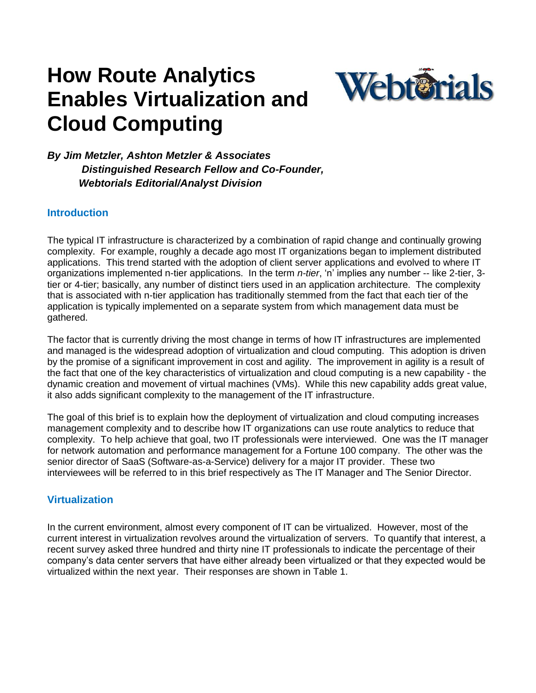# **How Route Analytics Enables Virtualization and Cloud Computing**



*By Jim Metzler, Ashton Metzler & Associates Distinguished Research Fellow and Co-Founder, Webtorials Editorial/Analyst Division*

## **Introduction**

The typical IT infrastructure is characterized by a combination of rapid change and continually growing complexity. For example, roughly a decade ago most IT organizations began to implement distributed applications. This trend started with the adoption of client server applications and evolved to where IT organizations implemented n-tier applications. In the term *n-tier*, "n" implies any number -- like 2-tier, 3 tier or 4-tier; basically, any number of distinct tiers used in an application architecture. The complexity that is associated with n-tier application has traditionally stemmed from the fact that each tier of the application is typically implemented on a separate system from which management data must be gathered.

The factor that is currently driving the most change in terms of how IT infrastructures are implemented and managed is the widespread adoption of virtualization and cloud computing. This adoption is driven by the promise of a significant improvement in cost and agility. The improvement in agility is a result of the fact that one of the key characteristics of virtualization and cloud computing is a new capability - the dynamic creation and movement of virtual machines (VMs). While this new capability adds great value, it also adds significant complexity to the management of the IT infrastructure.

The goal of this brief is to explain how the deployment of virtualization and cloud computing increases management complexity and to describe how IT organizations can use route analytics to reduce that complexity. To help achieve that goal, two IT professionals were interviewed. One was the IT manager for network automation and performance management for a Fortune 100 company. The other was the senior director of SaaS (Software-as-a-Service) delivery for a major IT provider. These two interviewees will be referred to in this brief respectively as The IT Manager and The Senior Director.

## **Virtualization**

In the current environment, almost every component of IT can be virtualized. However, most of the current interest in virtualization revolves around the virtualization of servers. To quantify that interest, a recent survey asked three hundred and thirty nine IT professionals to indicate the percentage of their company"s data center servers that have either already been virtualized or that they expected would be virtualized within the next year. Their responses are shown in Table 1.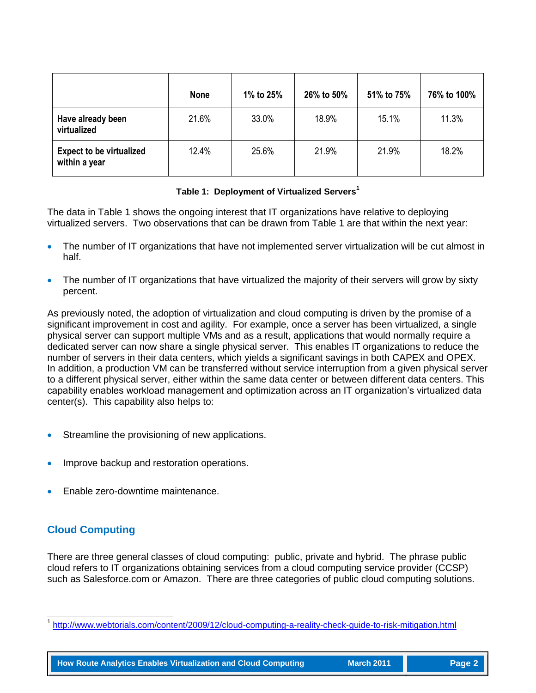|                                                  | <b>None</b> | 1% to 25% | 26% to 50% | 51% to 75% | 76% to 100% |
|--------------------------------------------------|-------------|-----------|------------|------------|-------------|
| Have already been<br>virtualized                 | 21.6%       | 33.0%     | 18.9%      | 15.1%      | 11.3%       |
| <b>Expect to be virtualized</b><br>within a year | 12.4%       | 25.6%     | 21.9%      | 21.9%      | 18.2%       |

#### **Table 1: Deployment of Virtualized Servers<sup>1</sup>**

The data in Table 1 shows the ongoing interest that IT organizations have relative to deploying virtualized servers. Two observations that can be drawn from Table 1 are that within the next year:

- The number of IT organizations that have not implemented server virtualization will be cut almost in half.
- The number of IT organizations that have virtualized the majority of their servers will grow by sixty percent.

As previously noted, the adoption of virtualization and cloud computing is driven by the promise of a significant improvement in cost and agility. For example, once a server has been virtualized, a single physical server can support multiple VMs and as a result, applications that would normally require a dedicated server can now share a single physical server. This enables IT organizations to reduce the number of servers in their data centers, which yields a significant savings in both CAPEX and OPEX. In addition, a production VM can be transferred without service interruption from a given physical server to a different physical server, either within the same data center or between different data centers. This capability enables workload management and optimization across an IT organization"s virtualized data center(s). This capability also helps to:

- Streamline the provisioning of new applications.
- Improve backup and restoration operations.
- Enable zero-downtime maintenance.

## **Cloud Computing**

l

There are three general classes of cloud computing: public, private and hybrid. The phrase public cloud refers to IT organizations obtaining services from a cloud computing service provider (CCSP) such as Salesforce.com or Amazon. There are three categories of public cloud computing solutions.

**How Route Analytics Enables Virtualization and Cloud Computing March 2011 Page 2** 

<sup>1</sup> <http://www.webtorials.com/content/2009/12/cloud-computing-a-reality-check-guide-to-risk-mitigation.html>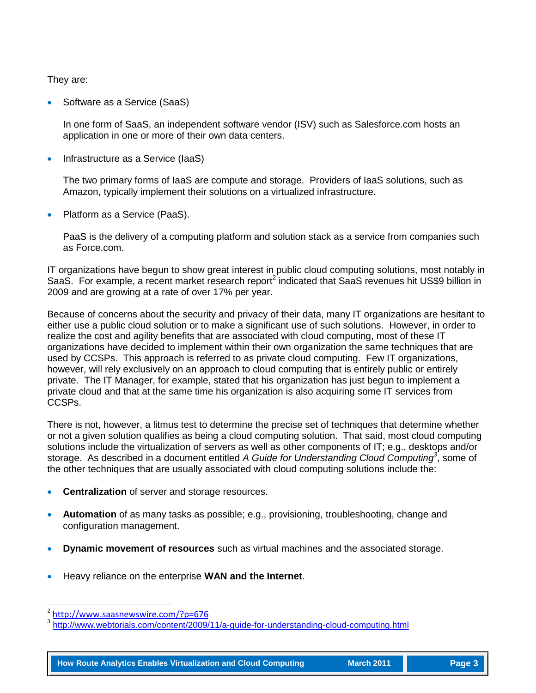They are:

Software as a Service (SaaS)

In one form of SaaS, an independent software vendor (ISV) such as Salesforce.com hosts an application in one or more of their own data centers.

Infrastructure as a Service (IaaS)

The two primary forms of IaaS are compute and storage. Providers of IaaS solutions, such as Amazon, typically implement their solutions on a virtualized infrastructure.

Platform as a Service (PaaS).

PaaS is the delivery of a computing platform and solution stack as a service from companies such as Force.com.

IT organizations have begun to show great interest in public cloud computing solutions, most notably in SaaS. For example, a recent market research report<sup>2</sup> indicated that SaaS revenues hit US\$9 billion in 2009 and are growing at a rate of over 17% per year.

Because of concerns about the security and privacy of their data, many IT organizations are hesitant to either use a public cloud solution or to make a significant use of such solutions. However, in order to realize the cost and agility benefits that are associated with cloud computing, most of these IT organizations have decided to implement within their own organization the same techniques that are used by CCSPs. This approach is referred to as private cloud computing. Few IT organizations, however, will rely exclusively on an approach to cloud computing that is entirely public or entirely private. The IT Manager, for example, stated that his organization has just begun to implement a private cloud and that at the same time his organization is also acquiring some IT services from CCSPs.

There is not, however, a litmus test to determine the precise set of techniques that determine whether or not a given solution qualifies as being a cloud computing solution. That said, most cloud computing solutions include the virtualization of servers as well as other components of IT; e.g., desktops and/or storage. As described in a document entitled *A Guide for Understanding Cloud Computing<sup>3</sup>* , some of the other techniques that are usually associated with cloud computing solutions include the:

- **Centralization** of server and storage resources.
- **Automation** of as many tasks as possible; e.g., provisioning, troubleshooting, change and configuration management.
- **Dynamic movement of resources** such as virtual machines and the associated storage.
- Heavy reliance on the enterprise **WAN and the Internet**.

l

**How Route Analytics Enables Virtualization and Cloud Computing March 2011 Page 3** 

<sup>2</sup> <http://www.saasnewswire.com/?p=676>

<sup>3</sup> <http://www.webtorials.com/content/2009/11/a-guide-for-understanding-cloud-computing.html>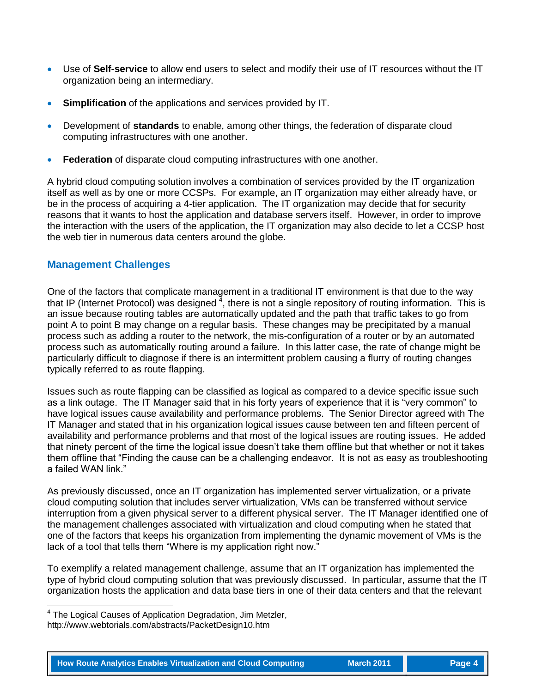- Use of **Self-service** to allow end users to select and modify their use of IT resources without the IT organization being an intermediary.
- **Simplification** of the applications and services provided by IT.
- Development of **standards** to enable, among other things, the federation of disparate cloud computing infrastructures with one another.
- **Federation** of disparate cloud computing infrastructures with one another.

A hybrid cloud computing solution involves a combination of services provided by the IT organization itself as well as by one or more CCSPs. For example, an IT organization may either already have, or be in the process of acquiring a 4-tier application. The IT organization may decide that for security reasons that it wants to host the application and database servers itself. However, in order to improve the interaction with the users of the application, the IT organization may also decide to let a CCSP host the web tier in numerous data centers around the globe.

### **Management Challenges**

One of the factors that complicate management in a traditional IT environment is that due to the way that IP (Internet Protocol) was designed  $^{\overline{4}}$ , there is not a single repository of routing information. This is an issue because routing tables are automatically updated and the path that traffic takes to go from point A to point B may change on a regular basis. These changes may be precipitated by a manual process such as adding a router to the network, the mis-configuration of a router or by an automated process such as automatically routing around a failure. In this latter case, the rate of change might be particularly difficult to diagnose if there is an intermittent problem causing a flurry of routing changes typically referred to as route flapping.

Issues such as route flapping can be classified as logical as compared to a device specific issue such as a link outage. The IT Manager said that in his forty years of experience that it is "very common" to have logical issues cause availability and performance problems. The Senior Director agreed with The IT Manager and stated that in his organization logical issues cause between ten and fifteen percent of availability and performance problems and that most of the logical issues are routing issues. He added that ninety percent of the time the logical issue doesn"t take them offline but that whether or not it takes them offline that "Finding the cause can be a challenging endeavor. It is not as easy as troubleshooting a failed WAN link."

As previously discussed, once an IT organization has implemented server virtualization, or a private cloud computing solution that includes server virtualization, VMs can be transferred without service interruption from a given physical server to a different physical server. The IT Manager identified one of the management challenges associated with virtualization and cloud computing when he stated that one of the factors that keeps his organization from implementing the dynamic movement of VMs is the lack of a tool that tells them "Where is my application right now."

To exemplify a related management challenge, assume that an IT organization has implemented the type of hybrid cloud computing solution that was previously discussed. In particular, assume that the IT organization hosts the application and data base tiers in one of their data centers and that the relevant

 4 The Logical Causes of Application Degradation, Jim Metzler,

http://www.webtorials.com/abstracts/PacketDesign10.htm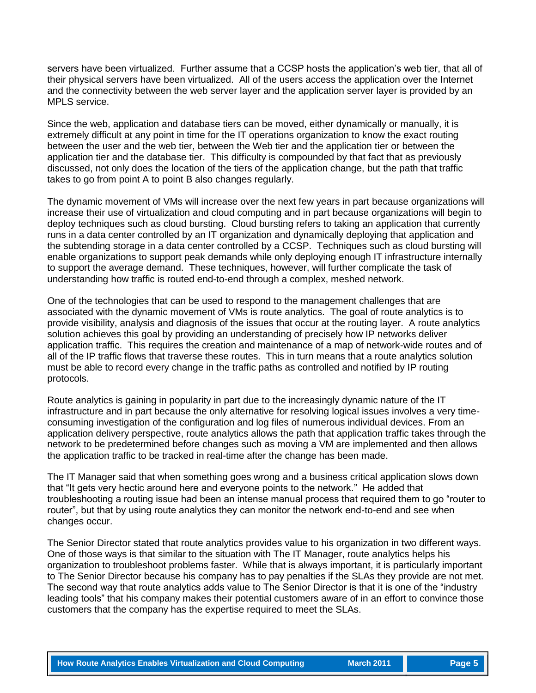servers have been virtualized. Further assume that a CCSP hosts the application"s web tier, that all of their physical servers have been virtualized. All of the users access the application over the Internet and the connectivity between the web server layer and the application server layer is provided by an MPLS service.

Since the web, application and database tiers can be moved, either dynamically or manually, it is extremely difficult at any point in time for the IT operations organization to know the exact routing between the user and the web tier, between the Web tier and the application tier or between the application tier and the database tier. This difficulty is compounded by that fact that as previously discussed, not only does the location of the tiers of the application change, but the path that traffic takes to go from point A to point B also changes regularly.

The dynamic movement of VMs will increase over the next few years in part because organizations will increase their use of virtualization and cloud computing and in part because organizations will begin to deploy techniques such as cloud bursting. Cloud bursting refers to taking an application that currently runs in a data center controlled by an IT organization and dynamically deploying that application and the subtending storage in a data center controlled by a CCSP. Techniques such as cloud bursting will enable organizations to support peak demands while only deploying enough IT infrastructure internally to support the average demand. These techniques, however, will further complicate the task of understanding how traffic is routed end-to-end through a complex, meshed network.

One of the technologies that can be used to respond to the management challenges that are associated with the dynamic movement of VMs is route analytics. The goal of route analytics is to provide visibility, analysis and diagnosis of the issues that occur at the routing layer. A route analytics solution achieves this goal by providing an understanding of precisely how IP networks deliver application traffic. This requires the creation and maintenance of a map of network-wide routes and of all of the IP traffic flows that traverse these routes. This in turn means that a route analytics solution must be able to record every change in the traffic paths as controlled and notified by IP routing protocols.

Route analytics is gaining in popularity in part due to the increasingly dynamic nature of the IT infrastructure and in part because the only alternative for resolving logical issues involves a very timeconsuming investigation of the configuration and log files of numerous individual devices. From an application delivery perspective, route analytics allows the path that application traffic takes through the network to be predetermined before changes such as moving a VM are implemented and then allows the application traffic to be tracked in real-time after the change has been made.

The IT Manager said that when something goes wrong and a business critical application slows down that "It gets very hectic around here and everyone points to the network." He added that troubleshooting a routing issue had been an intense manual process that required them to go "router to router", but that by using route analytics they can monitor the network end-to-end and see when changes occur.

The Senior Director stated that route analytics provides value to his organization in two different ways. One of those ways is that similar to the situation with The IT Manager, route analytics helps his organization to troubleshoot problems faster. While that is always important, it is particularly important to The Senior Director because his company has to pay penalties if the SLAs they provide are not met. The second way that route analytics adds value to The Senior Director is that it is one of the "industry leading tools" that his company makes their potential customers aware of in an effort to convince those customers that the company has the expertise required to meet the SLAs.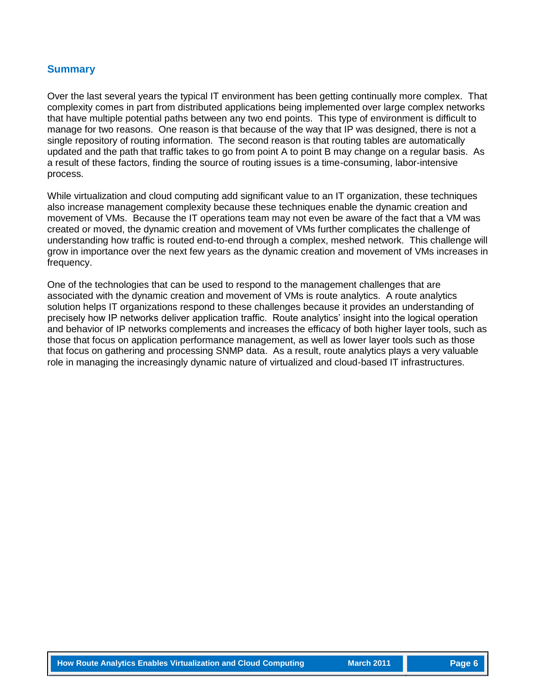#### **Summary**

Over the last several years the typical IT environment has been getting continually more complex. That complexity comes in part from distributed applications being implemented over large complex networks that have multiple potential paths between any two end points. This type of environment is difficult to manage for two reasons. One reason is that because of the way that IP was designed, there is not a single repository of routing information. The second reason is that routing tables are automatically updated and the path that traffic takes to go from point A to point B may change on a regular basis. As a result of these factors, finding the source of routing issues is a time-consuming, labor-intensive process.

While virtualization and cloud computing add significant value to an IT organization, these techniques also increase management complexity because these techniques enable the dynamic creation and movement of VMs. Because the IT operations team may not even be aware of the fact that a VM was created or moved, the dynamic creation and movement of VMs further complicates the challenge of understanding how traffic is routed end-to-end through a complex, meshed network. This challenge will grow in importance over the next few years as the dynamic creation and movement of VMs increases in frequency.

One of the technologies that can be used to respond to the management challenges that are associated with the dynamic creation and movement of VMs is route analytics. A route analytics solution helps IT organizations respond to these challenges because it provides an understanding of precisely how IP networks deliver application traffic. Route analytics" insight into the logical operation and behavior of IP networks complements and increases the efficacy of both higher layer tools, such as those that focus on application performance management, as well as lower layer tools such as those that focus on gathering and processing SNMP data. As a result, route analytics plays a very valuable role in managing the increasingly dynamic nature of virtualized and cloud-based IT infrastructures.